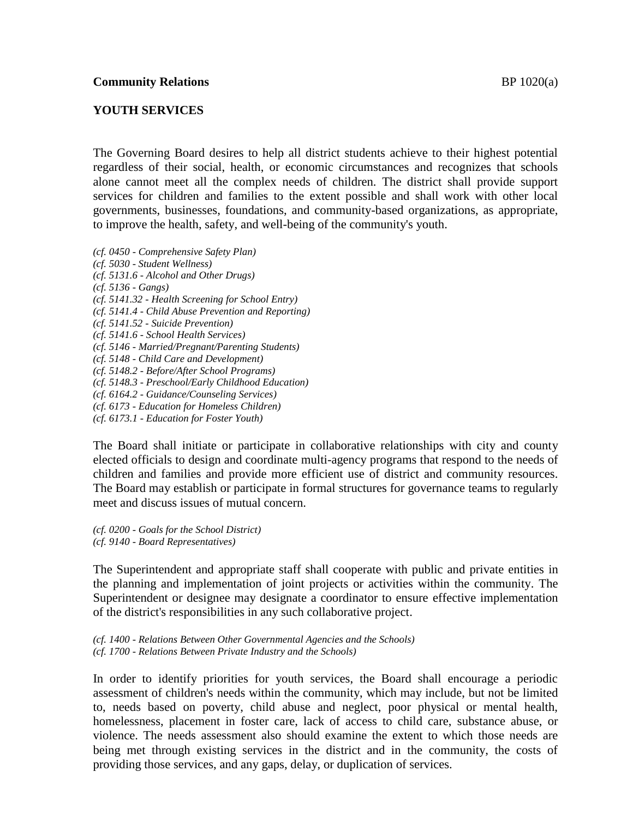## **YOUTH SERVICES**

The Governing Board desires to help all district students achieve to their highest potential regardless of their social, health, or economic circumstances and recognizes that schools alone cannot meet all the complex needs of children. The district shall provide support services for children and families to the extent possible and shall work with other local governments, businesses, foundations, and community-based organizations, as appropriate, to improve the health, safety, and well-being of the community's youth.

*(cf. 0450 - Comprehensive Safety Plan) (cf. 5030 - Student Wellness) (cf. 5131.6 - Alcohol and Other Drugs) (cf. 5136 - Gangs) (cf. 5141.32 - Health Screening for School Entry) (cf. 5141.4 - Child Abuse Prevention and Reporting) (cf. 5141.52 - Suicide Prevention) (cf. 5141.6 - School Health Services) (cf. 5146 - Married/Pregnant/Parenting Students) (cf. 5148 - Child Care and Development) (cf. 5148.2 - Before/After School Programs) (cf. 5148.3 - Preschool/Early Childhood Education) (cf. 6164.2 - Guidance/Counseling Services) (cf. 6173 - Education for Homeless Children) (cf. 6173.1 - Education for Foster Youth)*

The Board shall initiate or participate in collaborative relationships with city and county elected officials to design and coordinate multi-agency programs that respond to the needs of children and families and provide more efficient use of district and community resources. The Board may establish or participate in formal structures for governance teams to regularly meet and discuss issues of mutual concern.

*(cf. 0200 - Goals for the School District) (cf. 9140 - Board Representatives)*

The Superintendent and appropriate staff shall cooperate with public and private entities in the planning and implementation of joint projects or activities within the community. The Superintendent or designee may designate a coordinator to ensure effective implementation of the district's responsibilities in any such collaborative project.

*(cf. 1400 - Relations Between Other Governmental Agencies and the Schools) (cf. 1700 - Relations Between Private Industry and the Schools)*

In order to identify priorities for youth services, the Board shall encourage a periodic assessment of children's needs within the community, which may include, but not be limited to, needs based on poverty, child abuse and neglect, poor physical or mental health, homelessness, placement in foster care, lack of access to child care, substance abuse, or violence. The needs assessment also should examine the extent to which those needs are being met through existing services in the district and in the community, the costs of providing those services, and any gaps, delay, or duplication of services.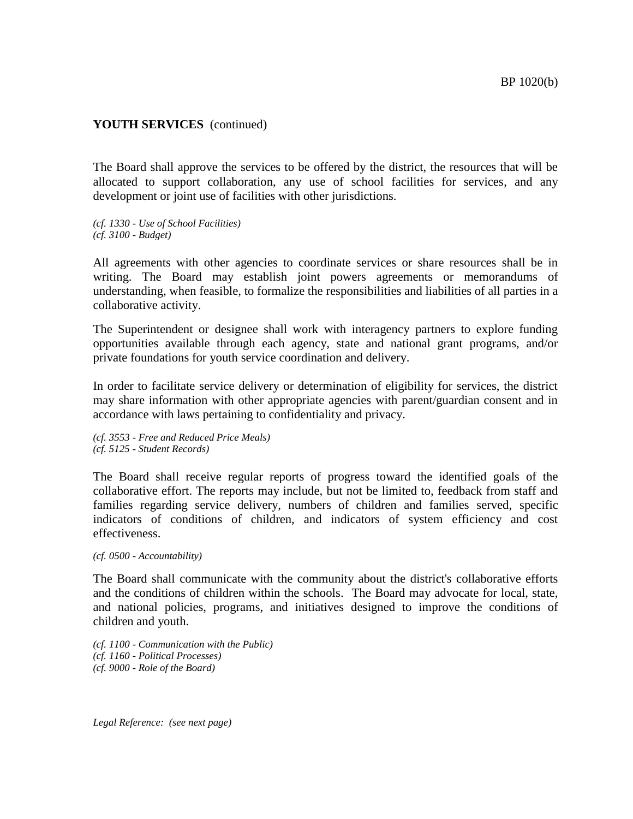## **YOUTH SERVICES** (continued)

The Board shall approve the services to be offered by the district, the resources that will be allocated to support collaboration, any use of school facilities for services, and any development or joint use of facilities with other jurisdictions.

*(cf. 1330 - Use of School Facilities) (cf. 3100 - Budget)*

All agreements with other agencies to coordinate services or share resources shall be in writing. The Board may establish joint powers agreements or memorandums of understanding, when feasible, to formalize the responsibilities and liabilities of all parties in a collaborative activity.

The Superintendent or designee shall work with interagency partners to explore funding opportunities available through each agency, state and national grant programs, and/or private foundations for youth service coordination and delivery.

In order to facilitate service delivery or determination of eligibility for services, the district may share information with other appropriate agencies with parent/guardian consent and in accordance with laws pertaining to confidentiality and privacy.

*(cf. 3553 - Free and Reduced Price Meals) (cf. 5125 - Student Records)*

The Board shall receive regular reports of progress toward the identified goals of the collaborative effort. The reports may include, but not be limited to, feedback from staff and families regarding service delivery, numbers of children and families served, specific indicators of conditions of children, and indicators of system efficiency and cost effectiveness.

*(cf. 0500 - Accountability)*

The Board shall communicate with the community about the district's collaborative efforts and the conditions of children within the schools. The Board may advocate for local, state, and national policies, programs, and initiatives designed to improve the conditions of children and youth.

*(cf. 1100 - Communication with the Public) (cf. 1160 - Political Processes) (cf. 9000 - Role of the Board)*

*Legal Reference: (see next page)*